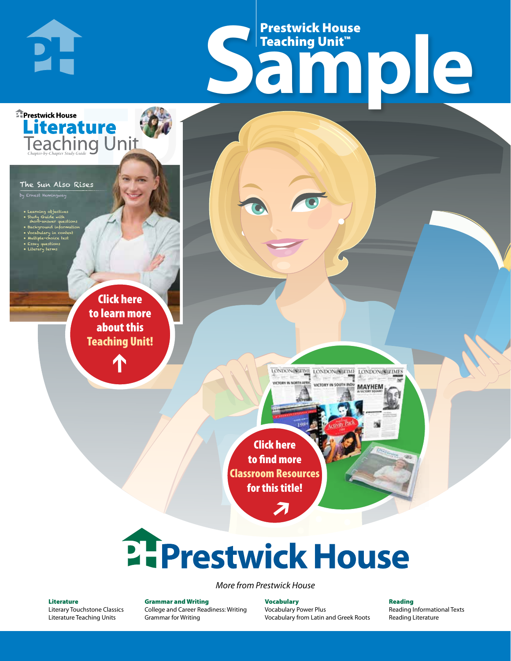# Frestwick House<br>
Sample **Prestwick House**<br>Teaching Unit™ Teaching Unit™

LONDON-SCITME LONDON/SCITME LONDON/SCITMES

**MAYHEM** 

The Sun Also Rises

PI-

**E** Prestwick House

**Literature** 

**A Tale of Two Cities**

• Learning objectives • Study Guide with short-answer questions • Background information • Vocabulary in context • Multiple-choice test

by Ernest Hemingway

CHARLES DICKENS

• Essay questions • Literary terms

> r e o r d e r n o . x x x x x x Click here to learn more about this [Teaching Unit!](https://www.prestwickhouse.com/pdf/id-201015/Sun_Also_Rises_The_-_Downloadable_Teaching_Unit)

> > $\mathbf{T}$

1

Click here to find more [Classroom Resources](http://teaching-english.prestwickhouse.com/search#w=the%20sun%20also%20rises)  for this title!

 $\overline{\boldsymbol{\lambda}}$ 

# **2. Prestwick House**

*More from Prestwick House*

#### Literature

[Literary Touchstone Classics](https://www.prestwickhouse.com/literary-touchstone-classics) [Literature Teaching Units](https://www.prestwickhouse.com/teaching-units)

Grammar and Writing [College and Career Readiness: Writing](https://www.prestwickhouse.com/college-and-career-readiness-writing) [Grammar for Writing](https://www.prestwickhouse.com/book/id-302639/Grammar_for_Writing_-_30_Books_and_Teachers_Edition)

**Vocabulary** [Vocabulary Power Plus](https://www.prestwickhouse.com/vocabulary-power-plus-for-college-and-career-readiness) [Vocabulary from Latin and Greek Roots](https://www.prestwickhouse.com/vocabulary-from-latin-and-greek-roots) Reading

[Reading Informational Texts](https://www.prestwickhouse.com/reading-informational-texts) [Reading Literature](https://www.prestwickhouse.com/reading-literature)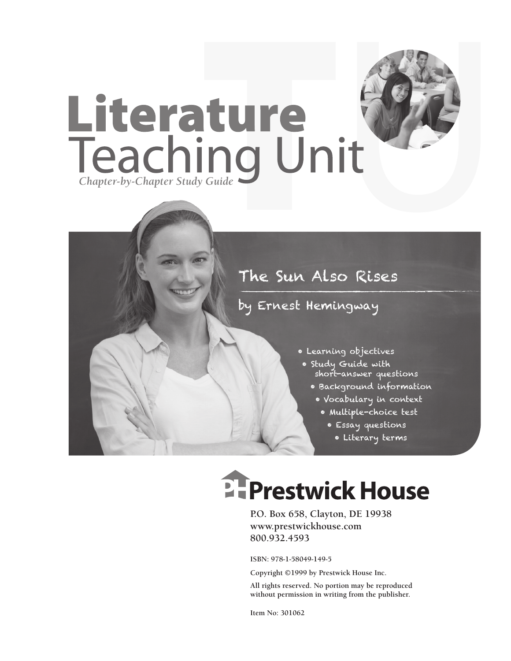

### The Sun Also Rises

### by Ernest Hemingway

- Learning objectives
- Study Guide with short-answer questions
	- Background information
	- Vocabulary in context
		- Multiple-choice test
			- Essay questions
				- Literary terms

## **Ellenger Prestwick House**

**P.O. Box 658, Clayton, DE 19938 www.prestwickhouse.com 800.932.4593**

**ISBN: 978-1-58049-149-5**

**Copyright ©1999 by Prestwick House Inc.**

**All rights reserved. No portion may be reproduced without permission in writing from the publisher.** 

**Item No: 301062**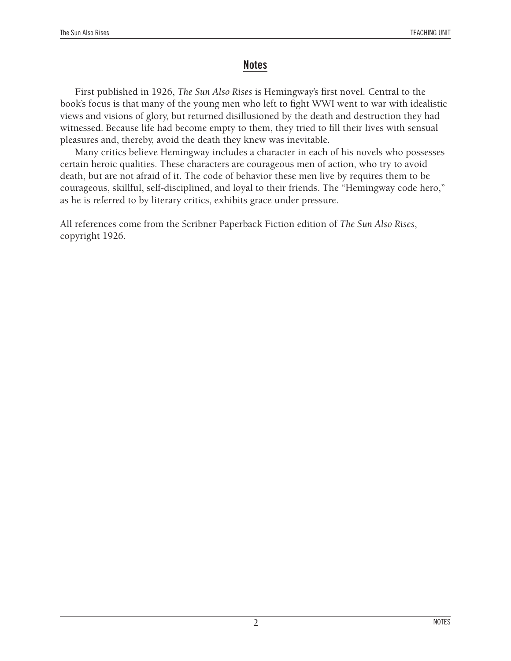### **Notes**

First published in 1926, *The Sun Also Rises* is Hemingway's first novel. Central to the book's focus is that many of the young men who left to fight WWI went to war with idealistic views and visions of glory, but returned disillusioned by the death and destruction they had witnessed. Because life had become empty to them, they tried to fill their lives with sensual pleasures and, thereby, avoid the death they knew was inevitable.

Many critics believe Hemingway includes a character in each of his novels who possesses certain heroic qualities. These characters are courageous men of action, who try to avoid death, but are not afraid of it. The code of behavior these men live by requires them to be courageous, skillful, self-disciplined, and loyal to their friends. The "Hemingway code hero," as he is referred to by literary critics, exhibits grace under pressure.

All references come from the Scribner Paperback Fiction edition of *The Sun Also Rises*, copyright 1926.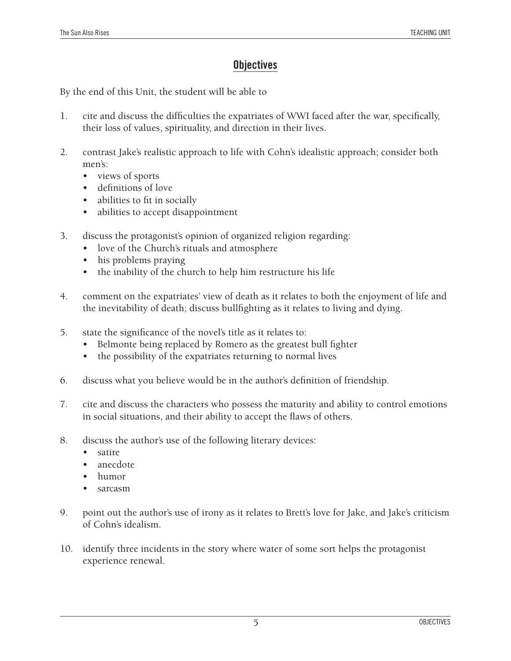### **Objectives**

By the end of this Unit, the student will be able to

- 1. cite and discuss the difficulties the expatriates of WWI faced after the war, specifically, their loss of values, spirituality, and direction in their lives.
- 2. contrast Jake's realistic approach to life with Cohn's idealistic approach; consider both men's:
	- views of sports
	- • definitions of love
	- abilities to fit in socially
	- abilities to accept disappointment
- 3. discuss the protagonist's opinion of organized religion regarding:
	- love of the Church's rituals and atmosphere
	- his problems praying
	- the inability of the church to help him restructure his life
- 4. comment on the expatriates' view of death as it relates to both the enjoyment of life and the inevitability of death; discuss bullfighting as it relates to living and dying.
- 5. state the significance of the novel's title as it relates to:
	- Belmonte being replaced by Romero as the greatest bull fighter
	- the possibility of the expatriates returning to normal lives
- 6. discuss what you believe would be in the author's definition of friendship.
- 7. cite and discuss the characters who possess the maturity and ability to control emotions in social situations, and their ability to accept the flaws of others.
- 8. discuss the author's use of the following literary devices:
	- satire
	- anecdote
	- humor
	- sarcasm
- 9. point out the author's use of irony as it relates to Brett's love for Jake, and Jake's criticism of Cohn's idealism.
- 10. identify three incidents in the story where water of some sort helps the protagonist experience renewal.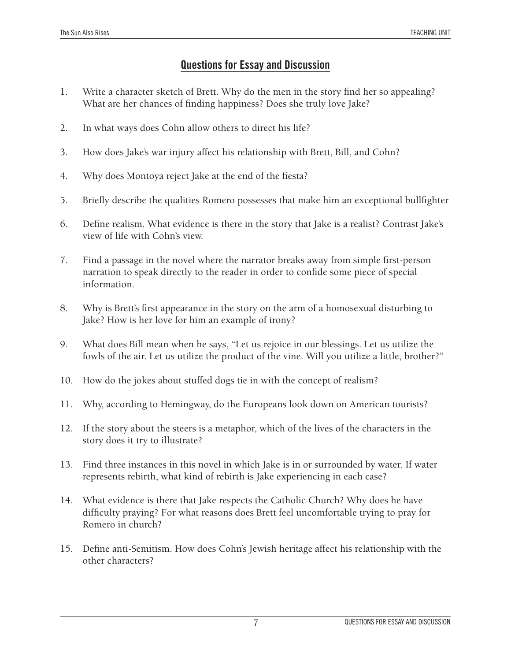### **Questions for Essay and Discussion**

- 1. Write a character sketch of Brett. Why do the men in the story find her so appealing? What are her chances of finding happiness? Does she truly love Jake?
- 2. In what ways does Cohn allow others to direct his life?
- 3. How does Jake's war injury affect his relationship with Brett, Bill, and Cohn?
- 4. Why does Montoya reject Jake at the end of the fiesta?
- 5. Briefly describe the qualities Romero possesses that make him an exceptional bullfighter
- 6. Define realism. What evidence is there in the story that Jake is a realist? Contrast Jake's view of life with Cohn's view.
- 7. Find a passage in the novel where the narrator breaks away from simple first-person narration to speak directly to the reader in order to confide some piece of special information.
- 8. Why is Brett's first appearance in the story on the arm of a homosexual disturbing to Jake? How is her love for him an example of irony?
- 9. What does Bill mean when he says, "Let us rejoice in our blessings. Let us utilize the fowls of the air. Let us utilize the product of the vine. Will you utilize a little, brother?"
- 10. How do the jokes about stuffed dogs tie in with the concept of realism?
- 11. Why, according to Hemingway, do the Europeans look down on American tourists?
- 12. If the story about the steers is a metaphor, which of the lives of the characters in the story does it try to illustrate?
- 13. Find three instances in this novel in which Jake is in or surrounded by water. If water represents rebirth, what kind of rebirth is Jake experiencing in each case?
- 14. What evidence is there that Jake respects the Catholic Church? Why does he have difficulty praying? For what reasons does Brett feel uncomfortable trying to pray for Romero in church?
- 15. Define anti-Semitism. How does Cohn's Jewish heritage affect his relationship with the other characters?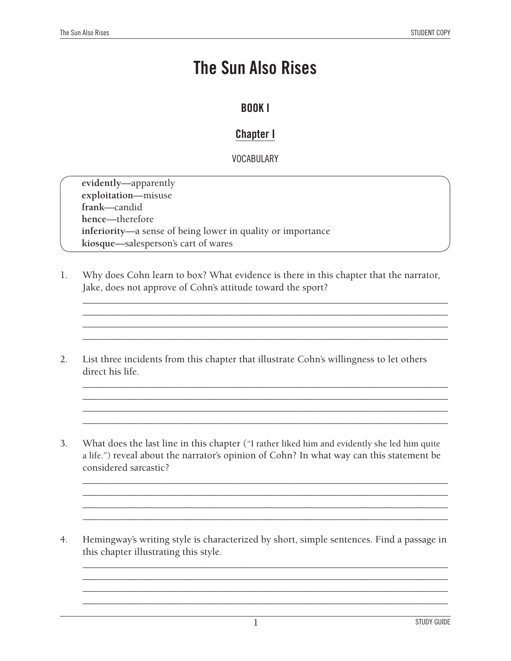### **The Sun Also Rises**

### **BOOK I**

### **Chapter I**

### **VOCABULARY**

**evidently**—apparently **exploitation**—misuse **frank**—candid **hence**—therefore **inferiority**—a sense of being lower in quality or importance **kiosque**—salesperson's cart of wares

1. Why does Cohn learn to box? What evidence is there in this chapter that the narrator, Jake, does not approve of Cohn's attitude toward the sport?

\_\_\_\_\_\_\_\_\_\_\_\_\_\_\_\_\_\_\_\_\_\_\_\_\_\_\_\_\_\_\_\_\_\_\_\_\_\_\_\_\_\_\_\_\_\_\_\_\_\_\_\_\_\_\_\_\_\_\_\_\_\_\_\_\_\_\_\_\_\_\_\_\_ \_\_\_\_\_\_\_\_\_\_\_\_\_\_\_\_\_\_\_\_\_\_\_\_\_\_\_\_\_\_\_\_\_\_\_\_\_\_\_\_\_\_\_\_\_\_\_\_\_\_\_\_\_\_\_\_\_\_\_\_\_\_\_\_\_\_\_\_\_\_\_\_\_ \_\_\_\_\_\_\_\_\_\_\_\_\_\_\_\_\_\_\_\_\_\_\_\_\_\_\_\_\_\_\_\_\_\_\_\_\_\_\_\_\_\_\_\_\_\_\_\_\_\_\_\_\_\_\_\_\_\_\_\_\_\_\_\_\_\_\_\_\_\_\_\_\_ \_\_\_\_\_\_\_\_\_\_\_\_\_\_\_\_\_\_\_\_\_\_\_\_\_\_\_\_\_\_\_\_\_\_\_\_\_\_\_\_\_\_\_\_\_\_\_\_\_\_\_\_\_\_\_\_\_\_\_\_\_\_\_\_\_\_\_\_\_\_\_\_\_

\_\_\_\_\_\_\_\_\_\_\_\_\_\_\_\_\_\_\_\_\_\_\_\_\_\_\_\_\_\_\_\_\_\_\_\_\_\_\_\_\_\_\_\_\_\_\_\_\_\_\_\_\_\_\_\_\_\_\_\_\_\_\_\_\_\_\_\_\_\_\_\_\_ \_\_\_\_\_\_\_\_\_\_\_\_\_\_\_\_\_\_\_\_\_\_\_\_\_\_\_\_\_\_\_\_\_\_\_\_\_\_\_\_\_\_\_\_\_\_\_\_\_\_\_\_\_\_\_\_\_\_\_\_\_\_\_\_\_\_\_\_\_\_\_\_\_ \_\_\_\_\_\_\_\_\_\_\_\_\_\_\_\_\_\_\_\_\_\_\_\_\_\_\_\_\_\_\_\_\_\_\_\_\_\_\_\_\_\_\_\_\_\_\_\_\_\_\_\_\_\_\_\_\_\_\_\_\_\_\_\_\_\_\_\_\_\_\_\_\_ \_\_\_\_\_\_\_\_\_\_\_\_\_\_\_\_\_\_\_\_\_\_\_\_\_\_\_\_\_\_\_\_\_\_\_\_\_\_\_\_\_\_\_\_\_\_\_\_\_\_\_\_\_\_\_\_\_\_\_\_\_\_\_\_\_\_\_\_\_\_\_\_\_

- 2. List three incidents from this chapter that illustrate Cohn's willingness to let others direct his life.
- 3. What does the last line in this chapter ("I rather liked him and evidently she led him quite a life.") reveal about the narrator's opinion of Cohn? In what way can this statement be considered sarcastic?

\_\_\_\_\_\_\_\_\_\_\_\_\_\_\_\_\_\_\_\_\_\_\_\_\_\_\_\_\_\_\_\_\_\_\_\_\_\_\_\_\_\_\_\_\_\_\_\_\_\_\_\_\_\_\_\_\_\_\_\_\_\_\_\_\_\_\_\_\_\_\_\_\_ \_\_\_\_\_\_\_\_\_\_\_\_\_\_\_\_\_\_\_\_\_\_\_\_\_\_\_\_\_\_\_\_\_\_\_\_\_\_\_\_\_\_\_\_\_\_\_\_\_\_\_\_\_\_\_\_\_\_\_\_\_\_\_\_\_\_\_\_\_\_\_\_\_ \_\_\_\_\_\_\_\_\_\_\_\_\_\_\_\_\_\_\_\_\_\_\_\_\_\_\_\_\_\_\_\_\_\_\_\_\_\_\_\_\_\_\_\_\_\_\_\_\_\_\_\_\_\_\_\_\_\_\_\_\_\_\_\_\_\_\_\_\_\_\_\_\_ \_\_\_\_\_\_\_\_\_\_\_\_\_\_\_\_\_\_\_\_\_\_\_\_\_\_\_\_\_\_\_\_\_\_\_\_\_\_\_\_\_\_\_\_\_\_\_\_\_\_\_\_\_\_\_\_\_\_\_\_\_\_\_\_\_\_\_\_\_\_\_\_\_

4. Hemingway's writing style is characterized by short, simple sentences. Find a passage in this chapter illustrating this style.

\_\_\_\_\_\_\_\_\_\_\_\_\_\_\_\_\_\_\_\_\_\_\_\_\_\_\_\_\_\_\_\_\_\_\_\_\_\_\_\_\_\_\_\_\_\_\_\_\_\_\_\_\_\_\_\_\_\_\_\_\_\_\_\_\_\_\_\_\_\_\_\_\_ \_\_\_\_\_\_\_\_\_\_\_\_\_\_\_\_\_\_\_\_\_\_\_\_\_\_\_\_\_\_\_\_\_\_\_\_\_\_\_\_\_\_\_\_\_\_\_\_\_\_\_\_\_\_\_\_\_\_\_\_\_\_\_\_\_\_\_\_\_\_\_\_\_ \_\_\_\_\_\_\_\_\_\_\_\_\_\_\_\_\_\_\_\_\_\_\_\_\_\_\_\_\_\_\_\_\_\_\_\_\_\_\_\_\_\_\_\_\_\_\_\_\_\_\_\_\_\_\_\_\_\_\_\_\_\_\_\_\_\_\_\_\_\_\_\_\_ \_\_\_\_\_\_\_\_\_\_\_\_\_\_\_\_\_\_\_\_\_\_\_\_\_\_\_\_\_\_\_\_\_\_\_\_\_\_\_\_\_\_\_\_\_\_\_\_\_\_\_\_\_\_\_\_\_\_\_\_\_\_\_\_\_\_\_\_\_\_\_\_\_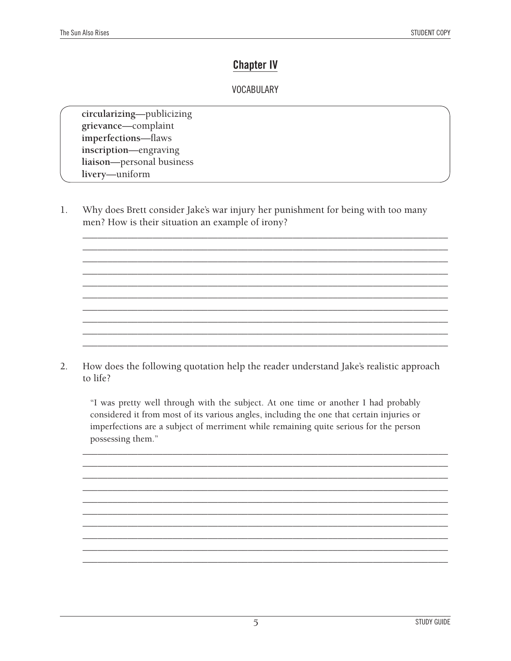### **Chapter IV**

### **VOCABULARY**

circularizing-publicizing grievance-complaint imperfections-flaws inscription-engraving liaison-personal business livery-uniform

1. Why does Brett consider Jake's war injury her punishment for being with too many men? How is their situation an example of irony?

 $2.$ How does the following quotation help the reader understand Jake's realistic approach to life?

"I was pretty well through with the subject. At one time or another I had probably considered it from most of its various angles, including the one that certain injuries or imperfections are a subject of merriment while remaining quite serious for the person possessing them."